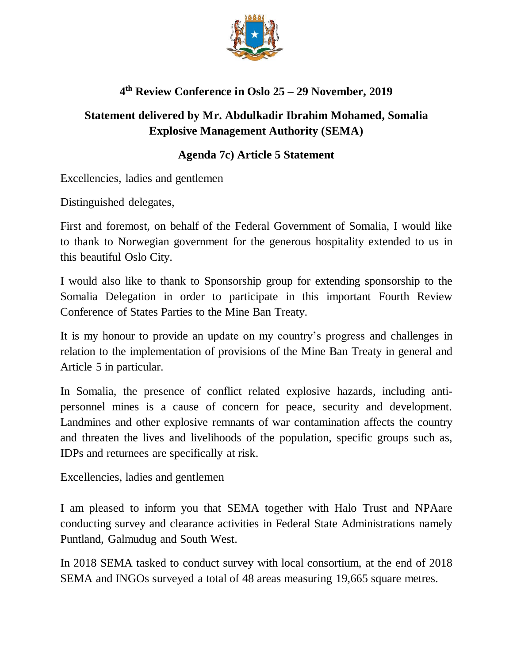

## **4 th Review Conference in Oslo 25 – 29 November, 2019**

## **Statement delivered by Mr. Abdulkadir Ibrahim Mohamed, Somalia Explosive Management Authority (SEMA)**

## **Agenda 7c) Article 5 Statement**

Excellencies, ladies and gentlemen

Distinguished delegates,

First and foremost, on behalf of the Federal Government of Somalia, I would like to thank to Norwegian government for the generous hospitality extended to us in this beautiful Oslo City.

I would also like to thank to Sponsorship group for extending sponsorship to the Somalia Delegation in order to participate in this important Fourth Review Conference of States Parties to the Mine Ban Treaty.

It is my honour to provide an update on my country's progress and challenges in relation to the implementation of provisions of the Mine Ban Treaty in general and Article 5 in particular.

In Somalia, the presence of conflict related explosive hazards, including antipersonnel mines is a cause of concern for peace, security and development. Landmines and other explosive remnants of war contamination affects the country and threaten the lives and livelihoods of the population, specific groups such as, IDPs and returnees are specifically at risk.

Excellencies, ladies and gentlemen

I am pleased to inform you that SEMA together with Halo Trust and NPAare conducting survey and clearance activities in Federal State Administrations namely Puntland, Galmudug and South West.

In 2018 SEMA tasked to conduct survey with local consortium, at the end of 2018 SEMA and INGOs surveyed a total of 48 areas measuring 19,665 square metres.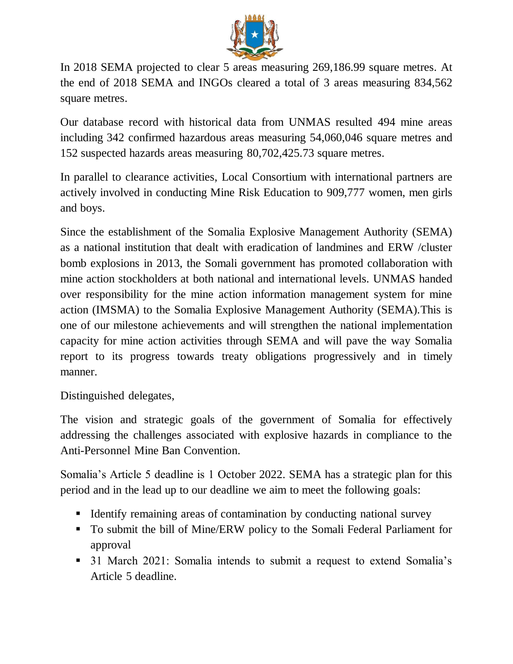

In 2018 SEMA projected to clear 5 areas measuring 269,186.99 square metres. At the end of 2018 SEMA and INGOs cleared a total of 3 areas measuring 834,562 square metres.

Our database record with historical data from UNMAS resulted 494 mine areas including 342 confirmed hazardous areas measuring 54,060,046 square metres and 152 suspected hazards areas measuring 80,702,425.73 square metres.

In parallel to clearance activities, Local Consortium with international partners are actively involved in conducting Mine Risk Education to 909,777 women, men girls and boys.

Since the establishment of the Somalia Explosive Management Authority (SEMA) as a national institution that dealt with eradication of landmines and ERW /cluster bomb explosions in 2013, the Somali government has promoted collaboration with mine action stockholders at both national and international levels. UNMAS handed over responsibility for the mine action information management system for mine action (IMSMA) to the Somalia Explosive Management Authority (SEMA).This is one of our milestone achievements and will strengthen the national implementation capacity for mine action activities through SEMA and will pave the way Somalia report to its progress towards treaty obligations progressively and in timely manner.

Distinguished delegates,

The vision and strategic goals of the government of Somalia for effectively addressing the challenges associated with explosive hazards in compliance to the Anti-Personnel Mine Ban Convention.

Somalia's Article 5 deadline is 1 October 2022. SEMA has a strategic plan for this period and in the lead up to our deadline we aim to meet the following goals:

- Identify remaining areas of contamination by conducting national survey
- To submit the bill of Mine/ERW policy to the Somali Federal Parliament for approval
- **31 March 2021: Somalia intends to submit a request to extend Somalia's** Article 5 deadline.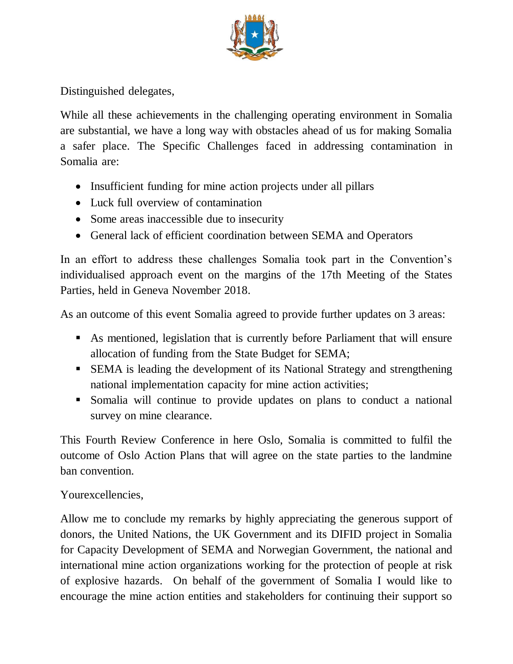

Distinguished delegates,

While all these achievements in the challenging operating environment in Somalia are substantial, we have a long way with obstacles ahead of us for making Somalia a safer place. The Specific Challenges faced in addressing contamination in Somalia are:

- Insufficient funding for mine action projects under all pillars
- Luck full overview of contamination
- Some areas inaccessible due to insecurity
- General lack of efficient coordination between SEMA and Operators

In an effort to address these challenges Somalia took part in the Convention's individualised approach event on the margins of the 17th Meeting of the States Parties, held in Geneva November 2018.

As an outcome of this event Somalia agreed to provide further updates on 3 areas:

- As mentioned, legislation that is currently before Parliament that will ensure allocation of funding from the State Budget for SEMA;
- SEMA is leading the development of its National Strategy and strengthening national implementation capacity for mine action activities;
- Somalia will continue to provide updates on plans to conduct a national survey on mine clearance.

This Fourth Review Conference in here Oslo, Somalia is committed to fulfil the outcome of Oslo Action Plans that will agree on the state parties to the landmine ban convention.

## Yourexcellencies,

Allow me to conclude my remarks by highly appreciating the generous support of donors, the United Nations, the UK Government and its DIFID project in Somalia for Capacity Development of SEMA and Norwegian Government, the national and international mine action organizations working for the protection of people at risk of explosive hazards. On behalf of the government of Somalia I would like to encourage the mine action entities and stakeholders for continuing their support so